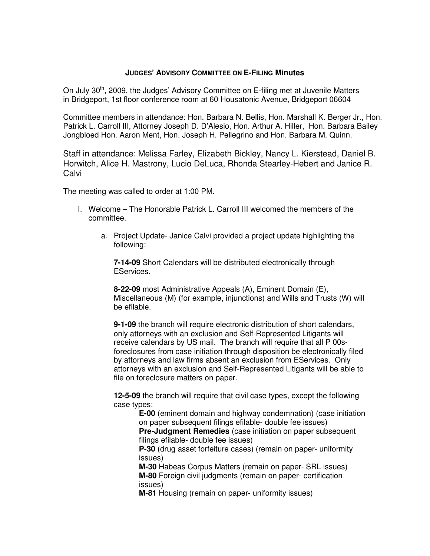## **JUDGES' ADVISORY COMMITTEE ON E-FILING Minutes**

On July 30<sup>th</sup>, 2009, the Judges' Advisory Committee on E-filing met at Juvenile Matters in Bridgeport, 1st floor conference room at 60 Housatonic Avenue, Bridgeport 06604

Committee members in attendance: Hon. Barbara N. Bellis, Hon. Marshall K. Berger Jr., Hon. Patrick L. Carroll III, Attorney Joseph D. D'Alesio, Hon. Arthur A. Hiller, Hon. Barbara Bailey Jongbloed Hon. Aaron Ment, Hon. Joseph H. Pellegrino and Hon. Barbara M. Quinn.

Staff in attendance: Melissa Farley, Elizabeth Bickley, Nancy L. Kierstead, Daniel B. Horwitch, Alice H. Mastrony, Lucio DeLuca, Rhonda Stearley-Hebert and Janice R. **Calvi** 

The meeting was called to order at 1:00 PM.

- I. Welcome The Honorable Patrick L. Carroll III welcomed the members of the committee.
	- a. Project Update- Janice Calvi provided a project update highlighting the following:

**7-14-09** Short Calendars will be distributed electronically through EServices.

**8-22-09** most Administrative Appeals (A), Eminent Domain (E), Miscellaneous (M) (for example, injunctions) and Wills and Trusts (W) will be efilable.

**9-1-09** the branch will require electronic distribution of short calendars, only attorneys with an exclusion and Self-Represented Litigants will receive calendars by US mail. The branch will require that all P 00sforeclosures from case initiation through disposition be electronically filed by attorneys and law firms absent an exclusion from EServices. Only attorneys with an exclusion and Self-Represented Litigants will be able to file on foreclosure matters on paper.

**12-5-09** the branch will require that civil case types, except the following case types:

> **E-00** (eminent domain and highway condemnation) (case initiation on paper subsequent filings efilable- double fee issues)

**Pre-Judgment Remedies** (case initiation on paper subsequent filings efilable- double fee issues)

**P-30** (drug asset forfeiture cases) (remain on paper- uniformity issues)

**M-30** Habeas Corpus Matters (remain on paper- SRL issues) **M-80** Foreign civil judgments (remain on paper- certification issues)

**M-81** Housing (remain on paper- uniformity issues)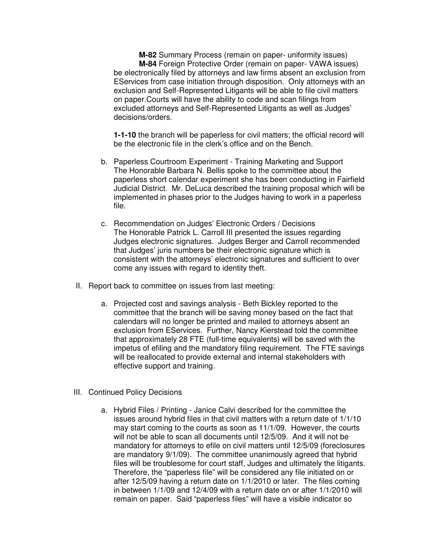**M-82** Summary Process (remain on paper- uniformity issues) **M-84** Foreign Protective Order (remain on paper- VAWA issues) be electronically filed by attorneys and law firms absent an exclusion from EServices from case initiation through disposition. Only attorneys with an exclusion and Self-Represented Litigants will be able to file civil matters on paper.Courts will have the ability to code and scan filings from excluded attorneys and Self-Represented Litigants as well as Judges' decisions/orders.

**1-1-10** the branch will be paperless for civil matters; the official record will be the electronic file in the clerk's office and on the Bench.

- b. Paperless Courtroom Experiment Training Marketing and Support The Honorable Barbara N. Bellis spoke to the committee about the paperless short calendar experiment she has been conducting in Fairfield Judicial District. Mr. DeLuca described the training proposal which will be implemented in phases prior to the Judges having to work in a paperless file.
- c. Recommendation on Judges' Electronic Orders / Decisions The Honorable Patrick L. Carroll III presented the issues regarding Judges electronic signatures. Judges Berger and Carroll recommended that Judges' juris numbers be their electronic signature which is consistent with the attorneys' electronic signatures and sufficient to over come any issues with regard to identity theft.
- II. Report back to committee on issues from last meeting:
	- a. Projected cost and savings analysis Beth Bickley reported to the committee that the branch will be saving money based on the fact that calendars will no longer be printed and mailed to attorneys absent an exclusion from EServices. Further, Nancy Kierstead told the committee that approximately 28 FTE (full-time equivalents) will be saved with the impetus of efiling and the mandatory filing requirement. The FTE savings will be reallocated to provide external and internal stakeholders with effective support and training.
- III. Continued Policy Decisions
	- a. Hybrid Files / Printing Janice Calvi described for the committee the issues around hybrid files in that civil matters with a return date of 1/1/10 may start coming to the courts as soon as 11/1/09. However, the courts will not be able to scan all documents until 12/5/09. And it will not be mandatory for attorneys to efile on civil matters until 12/5/09 (foreclosures are mandatory 9/1/09). The committee unanimously agreed that hybrid files will be troublesome for court staff, Judges and ultimately the litigants. Therefore, the "paperless file" will be considered any file initiated on or after 12/5/09 having a return date on 1/1/2010 or later. The files coming in between 1/1/09 and 12/4/09 with a return date on or after 1/1/2010 will remain on paper. Said "paperless files" will have a visible indicator so